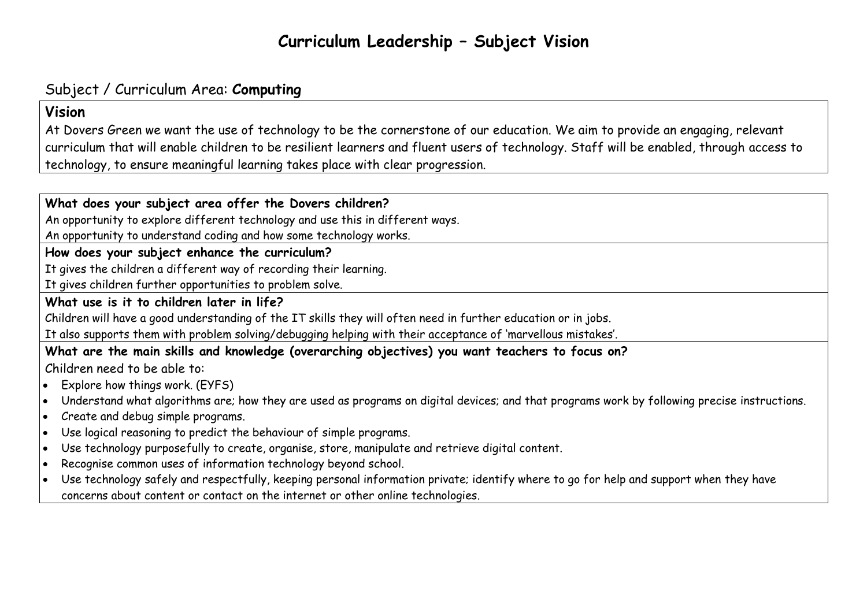# **Curriculum Leadership – Subject Vision**

# Subject / Curriculum Area: **Computing**

# **Vision**

At Dovers Green we want the use of technology to be the cornerstone of our education. We aim to provide an engaging, relevant curriculum that will enable children to be resilient learners and fluent users of technology. Staff will be enabled, through access to technology, to ensure meaningful learning takes place with clear progression.

| What does your subject area offer the Dovers children?                                                                                      |
|---------------------------------------------------------------------------------------------------------------------------------------------|
| An opportunity to explore different technology and use this in different ways.                                                              |
| An opportunity to understand coding and how some technology works.                                                                          |
| How does your subject enhance the curriculum?                                                                                               |
| It gives the children a different way of recording their learning.                                                                          |
| It gives children further opportunities to problem solve.                                                                                   |
| What use is it to children later in life?                                                                                                   |
| Children will have a good understanding of the IT skills they will often need in further education or in jobs.                              |
| It also supports them with problem solving/debugging helping with their acceptance of 'marvellous mistakes'.                                |
| What are the main skills and knowledge (overarching objectives) you want teachers to focus on?                                              |
| Children need to be able to:                                                                                                                |
| Explore how things work. (EYFS)<br>$\bullet$                                                                                                |
| Understand what algorithms are; how they are used as programs on digital devices; and that programs work by following precise instructions. |
| Create and debug simple programs.                                                                                                           |
| Use logical reasoning to predict the behaviour of simple programs.                                                                          |
| Use technology purposefully to create, organise, store, manipulate and retrieve digital content.                                            |
| Recognise common uses of information technology beyond school.                                                                              |
| Use technology safely and respectfully, keeping personal information private; identify where to go for help and support when they have      |
| concerns about content or contact on the internet or other online technologies.                                                             |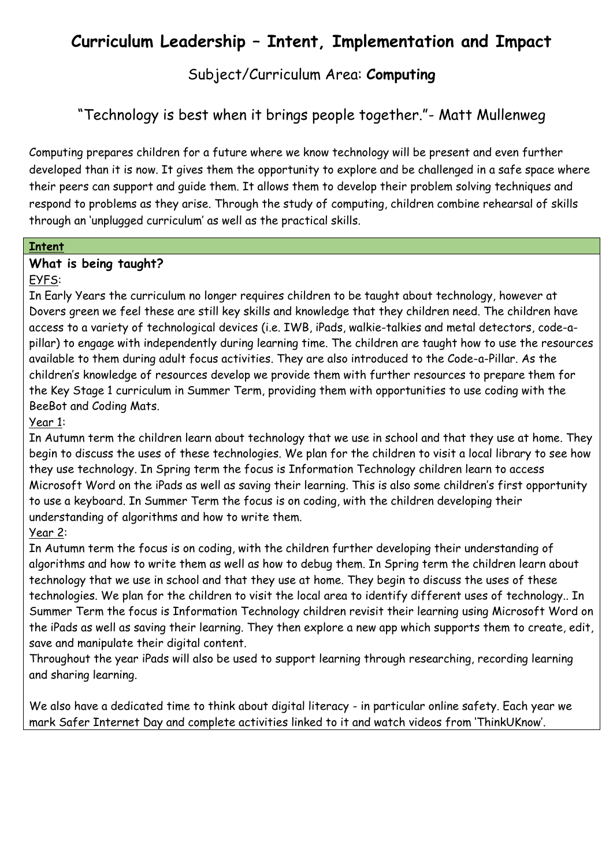# **Curriculum Leadership – Intent, Implementation and Impact**

Subject/Curriculum Area: **Computing**

"Technology is best when it brings people together."- Matt Mullenweg

Computing prepares children for a future where we know technology will be present and even further developed than it is now. It gives them the opportunity to explore and be challenged in a safe space where their peers can support and guide them. It allows them to develop their problem solving techniques and respond to problems as they arise. Through the study of computing, children combine rehearsal of skills through an 'unplugged curriculum' as well as the practical skills.

## **Intent**

## **What is being taught?** EYFS:

In Early Years the curriculum no longer requires children to be taught about technology, however at Dovers green we feel these are still key skills and knowledge that they children need. The children have access to a variety of technological devices (i.e. IWB, iPads, walkie-talkies and metal detectors, code-apillar) to engage with independently during learning time. The children are taught how to use the resources available to them during adult focus activities. They are also introduced to the Code-a-Pillar. As the children's knowledge of resources develop we provide them with further resources to prepare them for the Key Stage 1 curriculum in Summer Term, providing them with opportunities to use coding with the BeeBot and Coding Mats.

# Year 1:

In Autumn term the children learn about technology that we use in school and that they use at home. They begin to discuss the uses of these technologies. We plan for the children to visit a local library to see how they use technology. In Spring term the focus is Information Technology children learn to access Microsoft Word on the iPads as well as saving their learning. This is also some children's first opportunity to use a keyboard. In Summer Term the focus is on coding, with the children developing their understanding of algorithms and how to write them.

# Year 2:

In Autumn term the focus is on coding, with the children further developing their understanding of algorithms and how to write them as well as how to debug them. In Spring term the children learn about technology that we use in school and that they use at home. They begin to discuss the uses of these technologies. We plan for the children to visit the local area to identify different uses of technology.. In Summer Term the focus is Information Technology children revisit their learning using Microsoft Word on the iPads as well as saving their learning. They then explore a new app which supports them to create, edit, save and manipulate their digital content.

Throughout the year iPads will also be used to support learning through researching, recording learning and sharing learning.

We also have a dedicated time to think about digital literacy - in particular online safety. Each year we mark Safer Internet Day and complete activities linked to it and watch videos from 'ThinkUKnow'.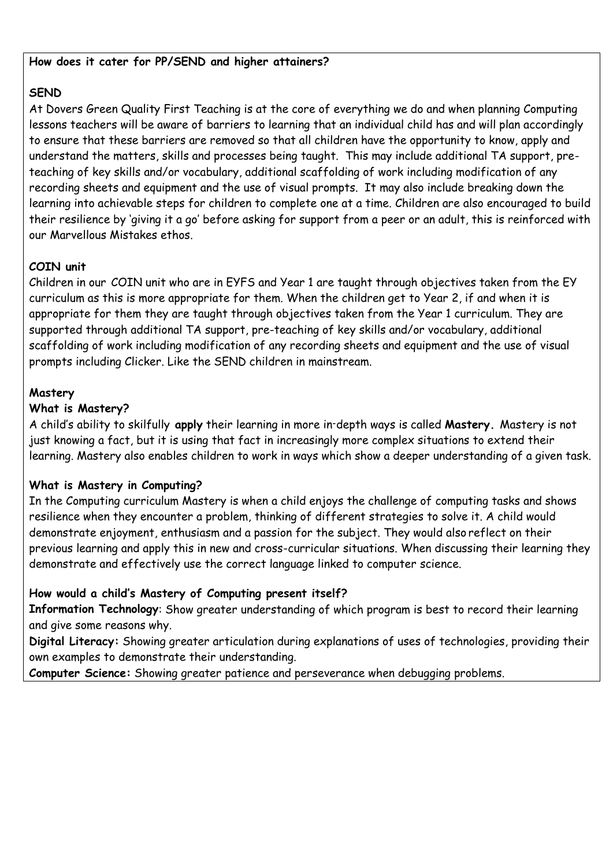#### **How does it cater for PP/SEND and higher attainers?**

#### **SEND**

At Dovers Green Quality First Teaching is at the core of everything we do and when planning Computing lessons teachers will be aware of barriers to learning that an individual child has and will plan accordingly to ensure that these barriers are removed so that all children have the opportunity to know, apply and understand the matters, skills and processes being taught. This may include additional TA support, preteaching of key skills and/or vocabulary, additional scaffolding of work including modification of any recording sheets and equipment and the use of visual prompts. It may also include breaking down the learning into achievable steps for children to complete one at a time. Children are also encouraged to build their resilience by 'giving it a go' before asking for support from a peer or an adult, this is reinforced with our Marvellous Mistakes ethos.

# **COIN unit**

Children in our COIN unit who are in EYFS and Year 1 are taught through objectives taken from the EY curriculum as this is more appropriate for them. When the children get to Year 2, if and when it is appropriate for them they are taught through objectives taken from the Year 1 curriculum. They are supported through additional TA support, pre-teaching of key skills and/or vocabulary, additional scaffolding of work including modification of any recording sheets and equipment and the use of visual prompts including Clicker. Like the SEND children in mainstream.

#### **Mastery**

## **What is Mastery?**

A child's ability to skilfully **apply** their learning in more in‐depth ways is called **Mastery.** Mastery is not just knowing a fact, but it is using that fact in increasingly more complex situations to extend their learning. Mastery also enables children to work in ways which show a deeper understanding of a given task.

# **What is Mastery in Computing?**

In the Computing curriculum Mastery is when a child enjoys the challenge of computing tasks and shows resilience when they encounter a problem, thinking of different strategies to solve it. A child would demonstrate enjoyment, enthusiasm and a passion for the subject. They would also reflect on their previous learning and apply this in new and cross-curricular situations. When discussing their learning they demonstrate and effectively use the correct language linked to computer science.

# **How would a child's Mastery of Computing present itself?**

1. **Information Technology**: Show greater understanding of which program is best to record their learning and give some reasons why.

2. **Digital Literacy:** Showing greater articulation during explanations of uses of technologies, providing their own examples to demonstrate their understanding.

3. **Computer Science:** Showing greater patience and perseverance when debugging problems.